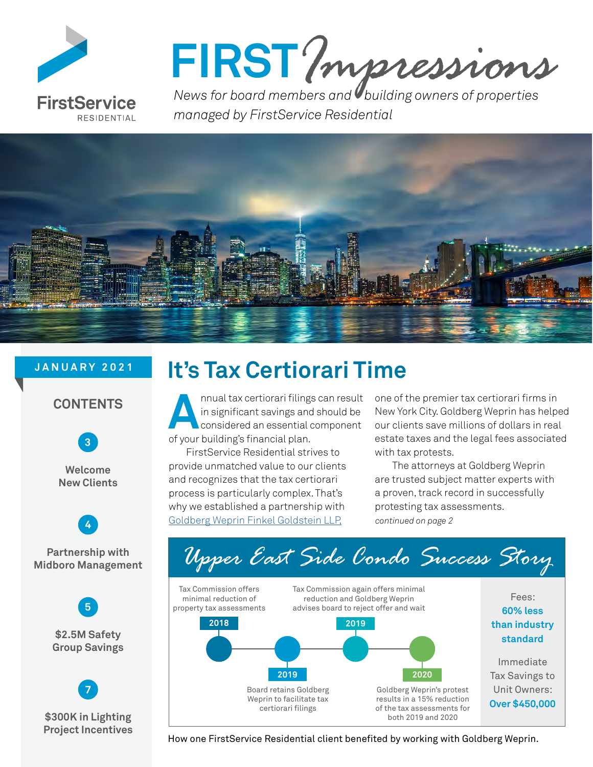

FIRST? *mpressions* 

*managed by FirstService Residential*



### **JANUARY 2021**





**Welcome New Clients**



**Partnership with Midboro Management**



**\$300K in Lighting Project Incentives**

 **[7](#page-6-0)**

## **It's Tax Certiorari Time**

Annual tax certiorari filings can result<br>in significant savings and should be<br>considered an essential component<br>of your huilding's financial plan in significant savings and should be considered an essential component of your building's financial plan.

FirstService Residential strives to provide unmatched value to our clients and recognizes that the tax certiorari process is particularly complex. That's why we established a partnership with [Goldberg Weprin Finkel Goldstein LLP,](https://gwfglaw.com/) 

one of the premier tax certiorari firms in New York City. Goldberg Weprin has helped our clients save millions of dollars in real estate taxes and the legal fees associated with tax protests.

The attorneys at Goldberg Weprin are trusted subject matter experts with a proven, track record in successfully protesting tax assessments. *continued on page 2*



How one FirstService Residential client benefited by working with Goldberg Weprin.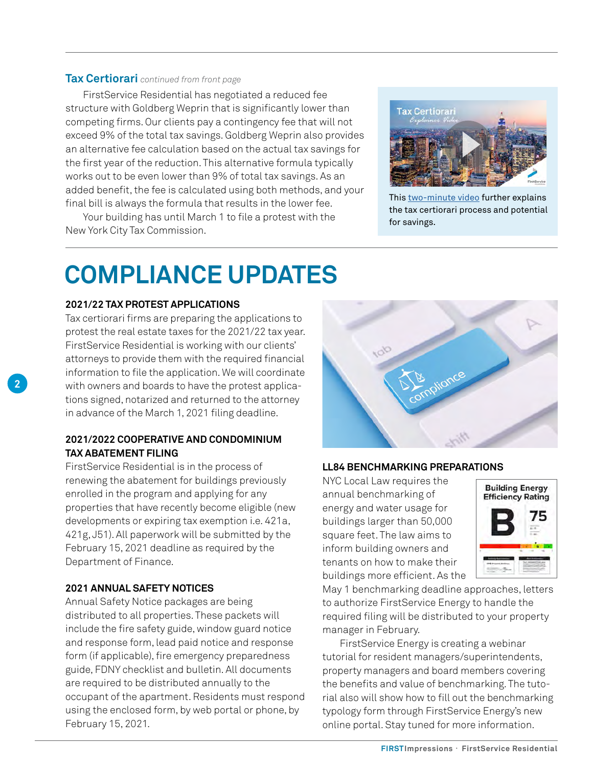### **Tax Certiorari** *continued from front page*

FirstService Residential has negotiated a reduced fee structure with Goldberg Weprin that is significantly lower than competing firms. Our clients pay a contingency fee that will not exceed 9% of the total tax savings. Goldberg Weprin also provides an alternative fee calculation based on the actual tax savings for the first year of the reduction. This alternative formula typically works out to be even lower than 9% of total tax savings. As an added benefit, the fee is calculated using both methods, and your final bill is always the formula that results in the lower fee.

Your building has until March 1 to file a protest with the New York City Tax Commission.



This [two-minute video](https://www.youtube.com/watch?v=9kUNdk-EeFc) further explains the tax certiorari process and potential for savings.

## **COMPLIANCE UPDATES**

### **2021/22 TAX PROTEST APPLICATIONS**

Tax certiorari firms are preparing the applications to protest the real estate taxes for the 2021/22 tax year. FirstService Residential is working with our clients' attorneys to provide them with the required financial information to file the application. We will coordinate with owners and boards to have the protest applications signed, notarized and returned to the attorney in advance of the March 1, 2021 filing deadline.

### **2021/2022 COOPERATIVE AND CONDOMINIUM TAX ABATEMENT FILING**

FirstService Residential is in the process of renewing the abatement for buildings previously enrolled in the program and applying for any properties that have recently become eligible (new developments or expiring tax exemption i.e. 421a, 421g, J51). All paperwork will be submitted by the February 15, 2021 deadline as required by the Department of Finance.

### **2021 ANNUAL SAFETY NOTICES**

Annual Safety Notice packages are being distributed to all properties. These packets will include the fire safety guide, window guard notice and response form, lead paid notice and response form (if applicable), fire emergency preparedness guide, FDNY checklist and bulletin. All documents are required to be distributed annually to the occupant of the apartment. Residents must respond using the enclosed form, by web portal or phone, by February 15, 2021.

![](_page_1_Picture_12.jpeg)

#### **LL84 BENCHMARKING PREPARATIONS**

NYC Local Law requires the annual benchmarking of energy and water usage for buildings larger than 50,000 square feet. The law aims to inform building owners and tenants on how to make their buildings more efficient. As the

![](_page_1_Picture_15.jpeg)

May 1 benchmarking deadline approaches, letters to authorize FirstService Energy to handle the required filing will be distributed to your property manager in February.

FirstService Energy is creating a webinar tutorial for resident managers/superintendents, property managers and board members covering the benefits and value of benchmarking. The tutorial also will show how to fill out the benchmarking typology form through FirstService Energy's new online portal. Stay tuned for more information.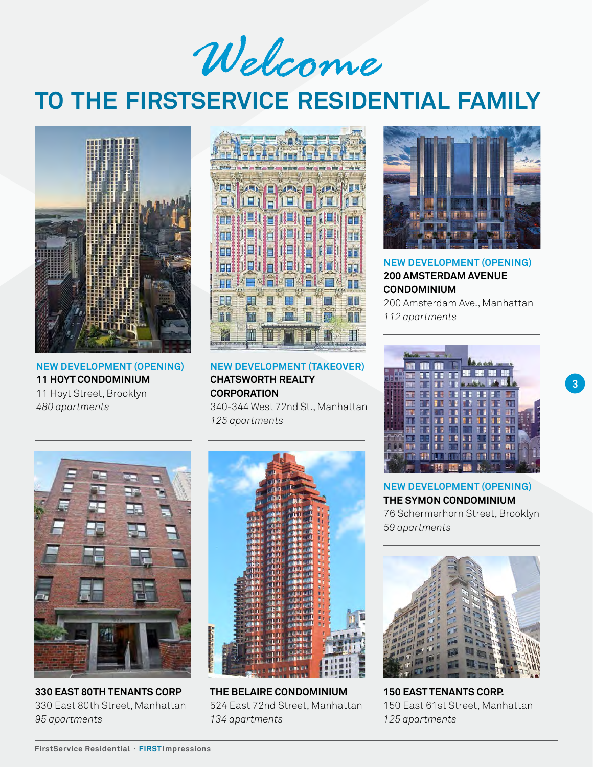*Welcome*

## <span id="page-2-0"></span>**TO THE FIRSTSERVICE RESIDENTIAL FAMILY**

![](_page_2_Picture_2.jpeg)

**NEW DEVELOPMENT (OPENING) 11 HOYT CONDOMINIUM** 11 Hoyt Street, Brooklyn *480 apartments*

![](_page_2_Picture_4.jpeg)

**NEW DEVELOPMENT (TAKEOVER) CHATSWORTH REALTY CORPORATION**

340-344 West 72nd St., Manhattan *125 apartments*

![](_page_2_Picture_7.jpeg)

**330 EAST 80TH TENANTS CORP** 330 East 80th Street, Manhattan *95 apartments*

![](_page_2_Picture_9.jpeg)

**THE BELAIRE CONDOMINIUM** 524 East 72nd Street, Manhattan *134 apartments*

![](_page_2_Picture_11.jpeg)

**NEW DEVELOPMENT (OPENING) 200 AMSTERDAM AVENUE CONDOMINIUM** 200 Amsterdam Ave., Manhattan

*112 apartments*

![](_page_2_Picture_14.jpeg)

**3**

**NEW DEVELOPMENT (OPENING) THE SYMON CONDOMINIUM** 76 Schermerhorn Street, Brooklyn *59 apartments*

![](_page_2_Picture_16.jpeg)

**150 EAST TENANTS CORP.** 150 East 61st Street, Manhattan *125 apartments*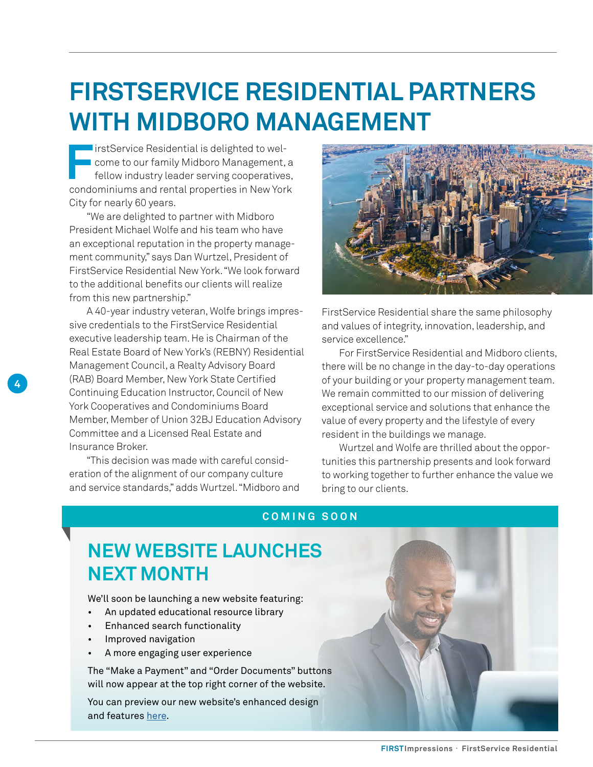## <span id="page-3-0"></span>**FIRSTSERVICE RESIDENTIAL PARTNERS WITH MIDBORO MANAGEMENT**

**FirstService Residential is delighted to wel-**<br> **Figure 10 come to our family Midboro Management,**<br> **Figure 10 condominiums and rental properties in New York Come to our family Midboro Management, a** fellow industry leader serving cooperatives, condominiums and rental properties in New York City for nearly 60 years.

"We are delighted to partner with Midboro President Michael Wolfe and his team who have an exceptional reputation in the property management community," says Dan Wurtzel, President of FirstService Residential New York. "We look forward to the additional benefits our clients will realize from this new partnership."

A 40-year industry veteran, Wolfe brings impressive credentials to the FirstService Residential executive leadership team. He is Chairman of the Real Estate Board of New York's (REBNY) Residential Management Council, a Realty Advisory Board (RAB) Board Member, New York State Certified Continuing Education Instructor, Council of New York Cooperatives and Condominiums Board Member, Member of Union 32BJ Education Advisory Committee and a Licensed Real Estate and Insurance Broker. **4 1** (RAB) Board Member, New York State Certified of your building or your property management team.

"This decision was made with careful consideration of the alignment of our company culture and service standards," adds Wurtzel. "Midboro and

![](_page_3_Picture_5.jpeg)

FirstService Residential share the same philosophy and values of integrity, innovation, leadership, and service excellence."

For FirstService Residential and Midboro clients, there will be no change in the day-to-day operations We remain committed to our mission of delivering exceptional service and solutions that enhance the value of every property and the lifestyle of every resident in the buildings we manage.

Wurtzel and Wolfe are thrilled about the opportunities this partnership presents and look forward to working together to further enhance the value we bring to our clients.

### **COMING SOON**

### **NEW WEBSITE LAUNCHES NEXT MONTH**

We'll soon be launching a new website featuring:

- An updated educational resource library
- Enhanced search functionality
- Improved navigation
- A more engaging user experience

The "Make a Payment" and "Order Documents" buttons will now appear at the top right corner of the website.

You can preview our new website's enhanced design and features [here.](https://www.fsresidential.com/corporate/new-website)

![](_page_3_Picture_18.jpeg)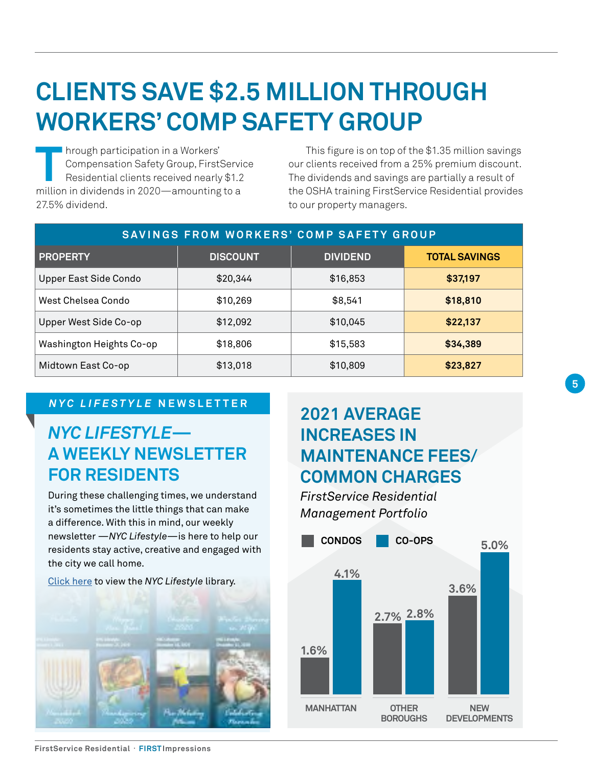## <span id="page-4-0"></span>**CLIENTS SAVE \$2.5 MILLION THROUGH WORKERS' COMP SAFETY GROUP**

**THE hrough participation in a Workers'<br>Compensation Safety Group, First!<br>Residential clients received nearly<br>million in dividends in 2020—amounting** Compensation Safety Group, FirstService Residential clients received nearly \$1.2 million in dividends in 2020—amounting to a 27.5% dividend.

This figure is on top of the \$1.35 million savings our clients received from a 25% premium discount. The dividends and savings are partially a result of the OSHA training FirstService Residential provides to our property managers.

| SAVINGS FROM WORKERS' COMP SAFETY GROUP |                 |                 |                      |  |  |  |  |
|-----------------------------------------|-----------------|-----------------|----------------------|--|--|--|--|
| <b>PROPERTY</b>                         | <b>DISCOUNT</b> | <b>DIVIDEND</b> | <b>TOTAL SAVINGS</b> |  |  |  |  |
| Upper East Side Condo                   | \$20,344        | \$16,853        | \$37,197             |  |  |  |  |
| West Chelsea Condo                      | \$10,269        | \$8,541         | \$18,810             |  |  |  |  |
| Upper West Side Co-op                   | \$12,092        | \$10,045        | \$22,137             |  |  |  |  |
| Washington Heights Co-op                | \$18,806        | \$15,583        | \$34,389             |  |  |  |  |
| Midtown East Co-op                      | \$13,018        | \$10,809        | \$23,827             |  |  |  |  |

### *NYC LIFESTYLE* **NEWSLETTER**

### *NYC LIFESTYLE***— A WEEKLY NEWSLETTER FOR RESIDENTS**

During these challenging times, we understand it's sometimes the little things that can make a difference. With this in mind, our weekly newsletter —*NYC Lifestyle*—is here to help our residents stay active, creative and engaged with the city we call home.

[Click here](https://www.fsresidential.com/new-york/news-and-events/nyc-lifestyle-newsletter) to view the *NYC Lifestyle* library.

![](_page_4_Picture_8.jpeg)

### **2021 AVERAGE INCREASES IN MAINTENANCE FEES/ COMMON CHARGES**

*FirstService Residential Management Portfolio*

![](_page_4_Figure_11.jpeg)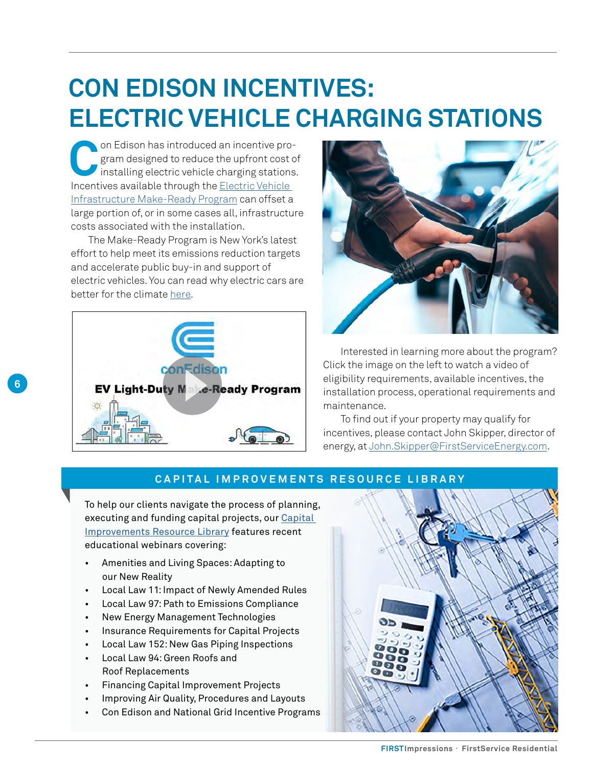## **CON EDISON INCENTIVES: ELECTRIC VEHICLE CHARGING STATIONS**

on Edison has introduced an incentive pro-<br>gram designed to reduce the upfront cost c<br>installing electric vehicle charging stations<br>locatives available through the Electric Vehicle gram designed to reduce the upfront cost of installing electric vehicle charging stations. Incentives available through the [Electric Vehicle](https://www.coned.com/-/media/files/coned/documents/our-energy-future/technology-and-innovation/electric-vehicles/make-ready-program/program-guide.pdf?la=en)  [Infrastructure Make-Ready Program](https://www.coned.com/-/media/files/coned/documents/our-energy-future/technology-and-innovation/electric-vehicles/make-ready-program/program-guide.pdf?la=en) can offset a large portion of, or in some cases all, infrastructure costs associated with the installation.

The Make-Ready Program is New York's latest effort to help meet its emissions reduction targets and accelerate public buy-in and support of electric vehicles. You can read why electric cars are better for the climate [here.](https://www.nytimes.com/interactive/2021/01/15/climate/electric-car-cost.html)

![](_page_5_Picture_3.jpeg)

**6**

![](_page_5_Picture_4.jpeg)

Interested in learning more about the program? Click the image on the left to watch a video of eligibility requirements, available incentives, the installation process, operational requirements and maintenance.

To find out if your property may qualify for incentives, please contact John Skipper, director of energy, at [John.Skipper@FirstServiceEnergy.com](mailto:John.Skipper%40FirstServiceEnergy.com?subject=).

### **CAPITAL IMPROVEMENTS RESOURCE LIBRARY**

To help our clients navigate the process of planning, executing and funding capital projects, our [Capital](https://www.fsresidential.com/new-york/capital-improvements-resource-library)  [Improvements Resource Library](https://www.fsresidential.com/new-york/capital-improvements-resource-library) features recent educational webinars covering:

- Amenities and Living Spaces: Adapting to our New Reality
- Local Law 11: Impact of Newly Amended Rules
- Local Law 97: Path to Emissions Compliance
- New Energy Management Technologies
- Insurance Requirements for Capital Projects
- Local Law 152: New Gas Piping Inspections
- Local Law 94: Green Roofs and Roof Replacements
- Financing Capital Improvement Projects
- Improving Air Quality, Procedures and Layouts
- Con Edison and National Grid Incentive Programs

![](_page_5_Picture_19.jpeg)